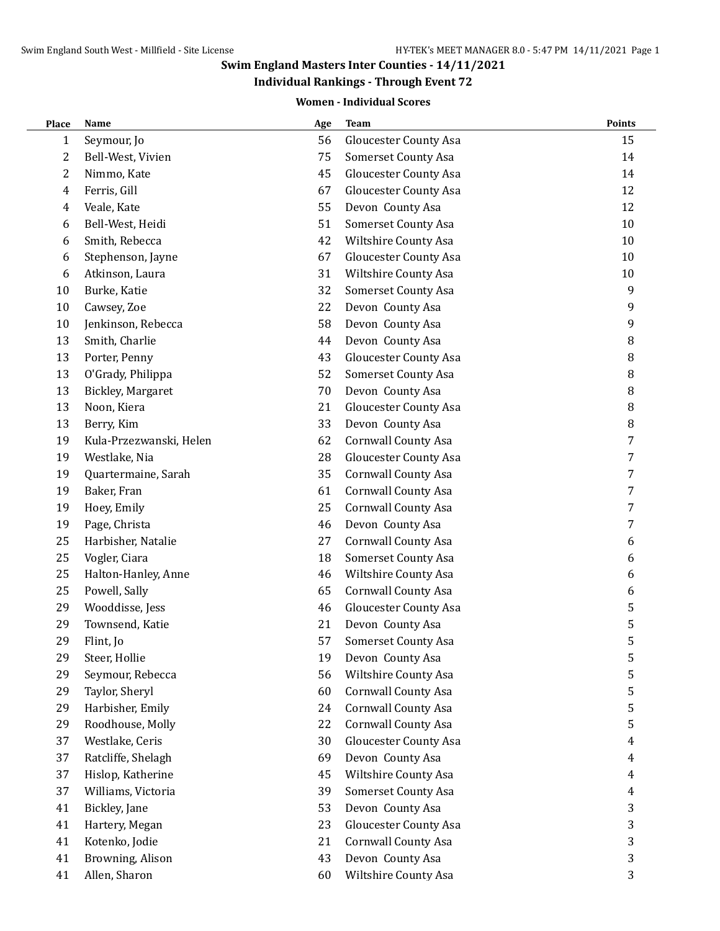# **Individual Rankings - Through Event 72**

#### **Women - Individual Scores**

| Place | Name                    | Age | <b>Team</b>                  | Points |
|-------|-------------------------|-----|------------------------------|--------|
| 1     | Seymour, Jo             | 56  | <b>Gloucester County Asa</b> | 15     |
| 2     | Bell-West, Vivien       | 75  | Somerset County Asa          | 14     |
| 2     | Nimmo, Kate             | 45  | <b>Gloucester County Asa</b> | 14     |
| 4     | Ferris, Gill            | 67  | <b>Gloucester County Asa</b> | 12     |
| 4     | Veale, Kate             | 55  | Devon County Asa             | 12     |
| 6     | Bell-West, Heidi        | 51  | <b>Somerset County Asa</b>   | 10     |
| 6     | Smith, Rebecca          | 42  | Wiltshire County Asa         | 10     |
| 6     | Stephenson, Jayne       | 67  | <b>Gloucester County Asa</b> | 10     |
| 6     | Atkinson, Laura         | 31  | Wiltshire County Asa         | 10     |
| 10    | Burke, Katie            | 32  | <b>Somerset County Asa</b>   | 9      |
| 10    | Cawsey, Zoe             | 22  | Devon County Asa             | 9      |
| 10    | Jenkinson, Rebecca      | 58  | Devon County Asa             | 9      |
| 13    | Smith, Charlie          | 44  | Devon County Asa             | 8      |
| 13    | Porter, Penny           | 43  | <b>Gloucester County Asa</b> | $\, 8$ |
| 13    | O'Grady, Philippa       | 52  | <b>Somerset County Asa</b>   | $\, 8$ |
| 13    | Bickley, Margaret       | 70  | Devon County Asa             | $\, 8$ |
| 13    | Noon, Kiera             | 21  | <b>Gloucester County Asa</b> | $\, 8$ |
| 13    | Berry, Kim              | 33  | Devon County Asa             | 8      |
| 19    | Kula-Przezwanski, Helen | 62  | <b>Cornwall County Asa</b>   | 7      |
| 19    | Westlake, Nia           | 28  | <b>Gloucester County Asa</b> | 7      |
| 19    | Quartermaine, Sarah     | 35  | Cornwall County Asa          | 7      |
| 19    | Baker, Fran             | 61  | <b>Cornwall County Asa</b>   | 7      |
| 19    | Hoey, Emily             | 25  | Cornwall County Asa          | 7      |
| 19    | Page, Christa           | 46  | Devon County Asa             | 7      |
| 25    | Harbisher, Natalie      | 27  | <b>Cornwall County Asa</b>   | 6      |
| 25    | Vogler, Ciara           | 18  | <b>Somerset County Asa</b>   | 6      |
| 25    | Halton-Hanley, Anne     | 46  | Wiltshire County Asa         | 6      |
| 25    | Powell, Sally           | 65  | <b>Cornwall County Asa</b>   | 6      |
| 29    | Wooddisse, Jess         | 46  | <b>Gloucester County Asa</b> | 5      |
| 29    | Townsend, Katie         | 21  | Devon County Asa             | 5      |
| 29    | Flint, Jo               | 57  | Somerset County Asa          | 5      |
| 29    | Steer, Hollie           | 19  | Devon County Asa             | 5      |
| 29    | Seymour, Rebecca        | 56  | Wiltshire County Asa         | 5      |
| 29    | Taylor, Sheryl          | 60  | <b>Cornwall County Asa</b>   | 5      |
| 29    | Harbisher, Emily        | 24  | Cornwall County Asa          | 5      |
| 29    | Roodhouse, Molly        | 22  | Cornwall County Asa          | 5      |
| 37    | Westlake, Ceris         | 30  | <b>Gloucester County Asa</b> | 4      |
| 37    | Ratcliffe, Shelagh      | 69  | Devon County Asa             | 4      |
| 37    | Hislop, Katherine       | 45  | Wiltshire County Asa         | 4      |
| 37    | Williams, Victoria      | 39  | <b>Somerset County Asa</b>   | 4      |
| 41    | Bickley, Jane           | 53  | Devon County Asa             | 3      |
| 41    | Hartery, Megan          | 23  | <b>Gloucester County Asa</b> | 3      |
| 41    | Kotenko, Jodie          | 21  | Cornwall County Asa          | 3      |
| 41    | Browning, Alison        | 43  | Devon County Asa             | 3      |
| 41    | Allen, Sharon           | 60  | Wiltshire County Asa         | 3      |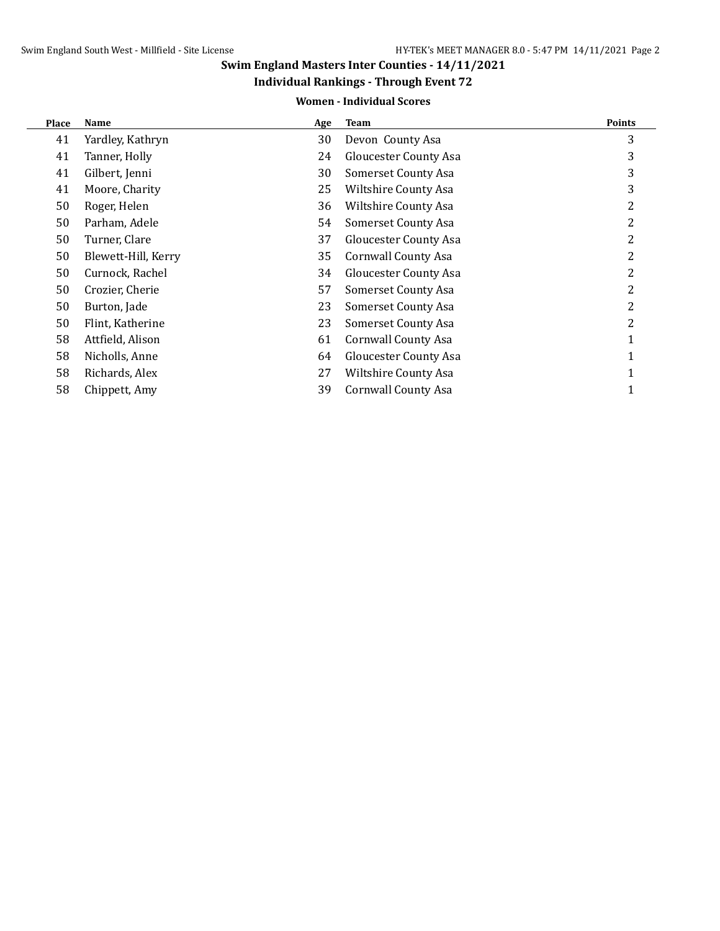## **Individual Rankings - Through Event 72**

#### **Women - Individual Scores**

| Place | <b>Name</b>         | Age | <b>Team</b>                | <b>Points</b> |
|-------|---------------------|-----|----------------------------|---------------|
| 41    | Yardley, Kathryn    | 30  | Devon County Asa           | 3             |
| 41    | Tanner, Holly       | 24  | Gloucester County Asa      | 3             |
| 41    | Gilbert, Jenni      | 30  | Somerset County Asa        | 3             |
| 41    | Moore, Charity      | 25  | Wiltshire County Asa       | 3             |
| 50    | Roger, Helen        | 36  | Wiltshire County Asa       |               |
| 50    | Parham, Adele       | 54  | <b>Somerset County Asa</b> |               |
| 50    | Turner, Clare       | 37  | Gloucester County Asa      |               |
| 50    | Blewett-Hill, Kerry | 35  | Cornwall County Asa        | 2             |
| 50    | Curnock, Rachel     | 34  | Gloucester County Asa      | 2             |
| 50    | Crozier, Cherie     | 57  | Somerset County Asa        |               |
| 50    | Burton, Jade        | 23  | Somerset County Asa        | 2             |
| 50    | Flint, Katherine    | 23  | Somerset County Asa        | 2             |
| 58    | Attfield, Alison    | 61  | <b>Cornwall County Asa</b> |               |
| 58    | Nicholls, Anne      | 64  | Gloucester County Asa      |               |
| 58    | Richards, Alex      | 27  | Wiltshire County Asa       |               |
| 58    | Chippett, Amy       | 39  | Cornwall County Asa        |               |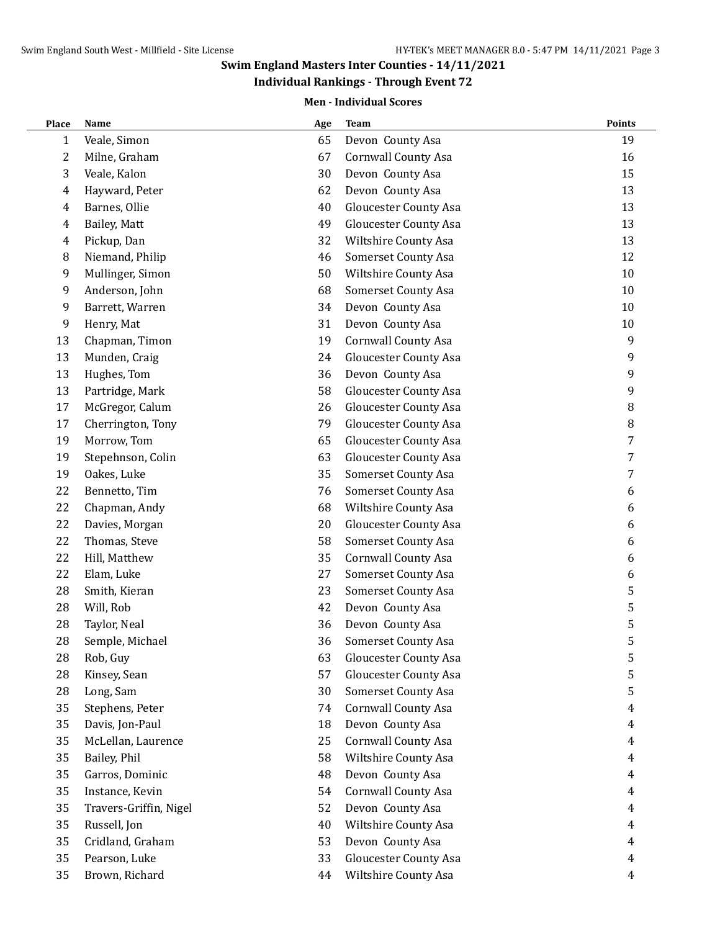## **Individual Rankings - Through Event 72**

#### **Men - Individual Scores**

| Veale, Simon<br>65<br>Devon County Asa<br>19<br>$\mathbf{1}$<br>$\overline{c}$<br><b>Cornwall County Asa</b><br>16<br>Milne, Graham<br>67<br>3<br>Veale, Kalon<br>30<br>Devon County Asa<br>15<br>Hayward, Peter<br>Devon County Asa<br>13<br>62<br>4<br>Barnes, Ollie<br><b>Gloucester County Asa</b><br>13<br>4<br>40<br>13<br>Bailey, Matt<br>49<br><b>Gloucester County Asa</b><br>4<br>Pickup, Dan<br>32<br>Wiltshire County Asa<br>13<br>4<br>8<br>Niemand, Philip<br>46<br>Somerset County Asa<br>12<br>9<br>Mullinger, Simon<br>50<br>Wiltshire County Asa<br>10<br>9<br>Anderson, John<br>Somerset County Asa<br>10<br>68<br>9<br>Barrett, Warren<br>Devon County Asa<br>10<br>34<br>9<br>Henry, Mat<br>31<br>Devon County Asa<br>10<br>13<br>Chapman, Timon<br>19<br><b>Cornwall County Asa</b><br>9<br>13<br><b>Gloucester County Asa</b><br>Munden, Craig<br>24<br>9<br>Devon County Asa<br>9<br>13<br>Hughes, Tom<br>36<br>13<br>Partridge, Mark<br>58<br><b>Gloucester County Asa</b><br>9<br>17<br>McGregor, Calum<br><b>Gloucester County Asa</b><br>$\, 8$<br>26<br>$\, 8$<br>17<br>Cherrington, Tony<br>79<br><b>Gloucester County Asa</b><br>7<br>19<br>Morrow, Tom<br>65<br><b>Gloucester County Asa</b><br>19<br>63<br><b>Gloucester County Asa</b><br>7<br>Stepehnson, Colin<br>7<br>19<br>Oakes, Luke<br>35<br>Somerset County Asa<br>22<br>Bennetto, Tim<br>Somerset County Asa<br>6<br>76<br>22<br>Chapman, Andy<br>68<br>Wiltshire County Asa<br>6<br>22<br>Davies, Morgan<br>20<br><b>Gloucester County Asa</b><br>6<br>22<br>Thomas, Steve<br>58<br>Somerset County Asa<br>6<br>22<br>Hill, Matthew<br>35<br><b>Cornwall County Asa</b><br>6<br>22<br>Elam, Luke<br>27<br>Somerset County Asa<br>6<br>5<br>28<br>Smith, Kieran<br>23<br>Somerset County Asa<br>5<br>Devon County Asa<br>28<br>Will, Rob<br>42<br>5<br>Devon County Asa<br>28<br>Taylor, Neal<br>36<br>28<br>5<br>36<br>Semple, Michael<br><b>Somerset County Asa</b><br>5<br>28<br>Rob, Guy<br>63<br><b>Gloucester County Asa</b><br>5<br>28<br>Kinsey, Sean<br>57<br><b>Gloucester County Asa</b><br>5<br>28<br>Long, Sam<br>30<br>Somerset County Asa<br>35<br>Stephens, Peter<br><b>Cornwall County Asa</b><br>74<br>4<br>35<br>Davis, Jon-Paul<br>Devon County Asa<br>18<br>4<br>35<br>McLellan, Laurence<br>25<br><b>Cornwall County Asa</b><br>4<br>35<br>Wiltshire County Asa<br>Bailey, Phil<br>58<br>4<br>35<br>Devon County Asa<br>Garros, Dominic<br>48<br>4<br>35<br><b>Cornwall County Asa</b><br>Instance, Kevin<br>54<br>4<br>35<br>Travers-Griffin, Nigel<br>52<br>Devon County Asa<br>4<br>35<br>Russell, Jon<br>40<br>Wiltshire County Asa<br>4<br>35<br>Cridland, Graham<br>53<br>Devon County Asa<br>4<br><b>Gloucester County Asa</b><br>35<br>Pearson, Luke<br>33<br>4<br>35<br>Brown, Richard<br>Wiltshire County Asa<br>44<br>4 | Place | Name | Age | <b>Team</b> | Points |
|-----------------------------------------------------------------------------------------------------------------------------------------------------------------------------------------------------------------------------------------------------------------------------------------------------------------------------------------------------------------------------------------------------------------------------------------------------------------------------------------------------------------------------------------------------------------------------------------------------------------------------------------------------------------------------------------------------------------------------------------------------------------------------------------------------------------------------------------------------------------------------------------------------------------------------------------------------------------------------------------------------------------------------------------------------------------------------------------------------------------------------------------------------------------------------------------------------------------------------------------------------------------------------------------------------------------------------------------------------------------------------------------------------------------------------------------------------------------------------------------------------------------------------------------------------------------------------------------------------------------------------------------------------------------------------------------------------------------------------------------------------------------------------------------------------------------------------------------------------------------------------------------------------------------------------------------------------------------------------------------------------------------------------------------------------------------------------------------------------------------------------------------------------------------------------------------------------------------------------------------------------------------------------------------------------------------------------------------------------------------------------------------------------------------------------------------------------------------------------------------------------------------------------------------------------------------------------------------------------------------------------------------------------------------------------------------------------------------------------------------------------------------------------------------------------------------------------------------------------|-------|------|-----|-------------|--------|
|                                                                                                                                                                                                                                                                                                                                                                                                                                                                                                                                                                                                                                                                                                                                                                                                                                                                                                                                                                                                                                                                                                                                                                                                                                                                                                                                                                                                                                                                                                                                                                                                                                                                                                                                                                                                                                                                                                                                                                                                                                                                                                                                                                                                                                                                                                                                                                                                                                                                                                                                                                                                                                                                                                                                                                                                                                                     |       |      |     |             |        |
|                                                                                                                                                                                                                                                                                                                                                                                                                                                                                                                                                                                                                                                                                                                                                                                                                                                                                                                                                                                                                                                                                                                                                                                                                                                                                                                                                                                                                                                                                                                                                                                                                                                                                                                                                                                                                                                                                                                                                                                                                                                                                                                                                                                                                                                                                                                                                                                                                                                                                                                                                                                                                                                                                                                                                                                                                                                     |       |      |     |             |        |
|                                                                                                                                                                                                                                                                                                                                                                                                                                                                                                                                                                                                                                                                                                                                                                                                                                                                                                                                                                                                                                                                                                                                                                                                                                                                                                                                                                                                                                                                                                                                                                                                                                                                                                                                                                                                                                                                                                                                                                                                                                                                                                                                                                                                                                                                                                                                                                                                                                                                                                                                                                                                                                                                                                                                                                                                                                                     |       |      |     |             |        |
|                                                                                                                                                                                                                                                                                                                                                                                                                                                                                                                                                                                                                                                                                                                                                                                                                                                                                                                                                                                                                                                                                                                                                                                                                                                                                                                                                                                                                                                                                                                                                                                                                                                                                                                                                                                                                                                                                                                                                                                                                                                                                                                                                                                                                                                                                                                                                                                                                                                                                                                                                                                                                                                                                                                                                                                                                                                     |       |      |     |             |        |
|                                                                                                                                                                                                                                                                                                                                                                                                                                                                                                                                                                                                                                                                                                                                                                                                                                                                                                                                                                                                                                                                                                                                                                                                                                                                                                                                                                                                                                                                                                                                                                                                                                                                                                                                                                                                                                                                                                                                                                                                                                                                                                                                                                                                                                                                                                                                                                                                                                                                                                                                                                                                                                                                                                                                                                                                                                                     |       |      |     |             |        |
|                                                                                                                                                                                                                                                                                                                                                                                                                                                                                                                                                                                                                                                                                                                                                                                                                                                                                                                                                                                                                                                                                                                                                                                                                                                                                                                                                                                                                                                                                                                                                                                                                                                                                                                                                                                                                                                                                                                                                                                                                                                                                                                                                                                                                                                                                                                                                                                                                                                                                                                                                                                                                                                                                                                                                                                                                                                     |       |      |     |             |        |
|                                                                                                                                                                                                                                                                                                                                                                                                                                                                                                                                                                                                                                                                                                                                                                                                                                                                                                                                                                                                                                                                                                                                                                                                                                                                                                                                                                                                                                                                                                                                                                                                                                                                                                                                                                                                                                                                                                                                                                                                                                                                                                                                                                                                                                                                                                                                                                                                                                                                                                                                                                                                                                                                                                                                                                                                                                                     |       |      |     |             |        |
|                                                                                                                                                                                                                                                                                                                                                                                                                                                                                                                                                                                                                                                                                                                                                                                                                                                                                                                                                                                                                                                                                                                                                                                                                                                                                                                                                                                                                                                                                                                                                                                                                                                                                                                                                                                                                                                                                                                                                                                                                                                                                                                                                                                                                                                                                                                                                                                                                                                                                                                                                                                                                                                                                                                                                                                                                                                     |       |      |     |             |        |
|                                                                                                                                                                                                                                                                                                                                                                                                                                                                                                                                                                                                                                                                                                                                                                                                                                                                                                                                                                                                                                                                                                                                                                                                                                                                                                                                                                                                                                                                                                                                                                                                                                                                                                                                                                                                                                                                                                                                                                                                                                                                                                                                                                                                                                                                                                                                                                                                                                                                                                                                                                                                                                                                                                                                                                                                                                                     |       |      |     |             |        |
|                                                                                                                                                                                                                                                                                                                                                                                                                                                                                                                                                                                                                                                                                                                                                                                                                                                                                                                                                                                                                                                                                                                                                                                                                                                                                                                                                                                                                                                                                                                                                                                                                                                                                                                                                                                                                                                                                                                                                                                                                                                                                                                                                                                                                                                                                                                                                                                                                                                                                                                                                                                                                                                                                                                                                                                                                                                     |       |      |     |             |        |
|                                                                                                                                                                                                                                                                                                                                                                                                                                                                                                                                                                                                                                                                                                                                                                                                                                                                                                                                                                                                                                                                                                                                                                                                                                                                                                                                                                                                                                                                                                                                                                                                                                                                                                                                                                                                                                                                                                                                                                                                                                                                                                                                                                                                                                                                                                                                                                                                                                                                                                                                                                                                                                                                                                                                                                                                                                                     |       |      |     |             |        |
|                                                                                                                                                                                                                                                                                                                                                                                                                                                                                                                                                                                                                                                                                                                                                                                                                                                                                                                                                                                                                                                                                                                                                                                                                                                                                                                                                                                                                                                                                                                                                                                                                                                                                                                                                                                                                                                                                                                                                                                                                                                                                                                                                                                                                                                                                                                                                                                                                                                                                                                                                                                                                                                                                                                                                                                                                                                     |       |      |     |             |        |
|                                                                                                                                                                                                                                                                                                                                                                                                                                                                                                                                                                                                                                                                                                                                                                                                                                                                                                                                                                                                                                                                                                                                                                                                                                                                                                                                                                                                                                                                                                                                                                                                                                                                                                                                                                                                                                                                                                                                                                                                                                                                                                                                                                                                                                                                                                                                                                                                                                                                                                                                                                                                                                                                                                                                                                                                                                                     |       |      |     |             |        |
|                                                                                                                                                                                                                                                                                                                                                                                                                                                                                                                                                                                                                                                                                                                                                                                                                                                                                                                                                                                                                                                                                                                                                                                                                                                                                                                                                                                                                                                                                                                                                                                                                                                                                                                                                                                                                                                                                                                                                                                                                                                                                                                                                                                                                                                                                                                                                                                                                                                                                                                                                                                                                                                                                                                                                                                                                                                     |       |      |     |             |        |
|                                                                                                                                                                                                                                                                                                                                                                                                                                                                                                                                                                                                                                                                                                                                                                                                                                                                                                                                                                                                                                                                                                                                                                                                                                                                                                                                                                                                                                                                                                                                                                                                                                                                                                                                                                                                                                                                                                                                                                                                                                                                                                                                                                                                                                                                                                                                                                                                                                                                                                                                                                                                                                                                                                                                                                                                                                                     |       |      |     |             |        |
|                                                                                                                                                                                                                                                                                                                                                                                                                                                                                                                                                                                                                                                                                                                                                                                                                                                                                                                                                                                                                                                                                                                                                                                                                                                                                                                                                                                                                                                                                                                                                                                                                                                                                                                                                                                                                                                                                                                                                                                                                                                                                                                                                                                                                                                                                                                                                                                                                                                                                                                                                                                                                                                                                                                                                                                                                                                     |       |      |     |             |        |
|                                                                                                                                                                                                                                                                                                                                                                                                                                                                                                                                                                                                                                                                                                                                                                                                                                                                                                                                                                                                                                                                                                                                                                                                                                                                                                                                                                                                                                                                                                                                                                                                                                                                                                                                                                                                                                                                                                                                                                                                                                                                                                                                                                                                                                                                                                                                                                                                                                                                                                                                                                                                                                                                                                                                                                                                                                                     |       |      |     |             |        |
|                                                                                                                                                                                                                                                                                                                                                                                                                                                                                                                                                                                                                                                                                                                                                                                                                                                                                                                                                                                                                                                                                                                                                                                                                                                                                                                                                                                                                                                                                                                                                                                                                                                                                                                                                                                                                                                                                                                                                                                                                                                                                                                                                                                                                                                                                                                                                                                                                                                                                                                                                                                                                                                                                                                                                                                                                                                     |       |      |     |             |        |
|                                                                                                                                                                                                                                                                                                                                                                                                                                                                                                                                                                                                                                                                                                                                                                                                                                                                                                                                                                                                                                                                                                                                                                                                                                                                                                                                                                                                                                                                                                                                                                                                                                                                                                                                                                                                                                                                                                                                                                                                                                                                                                                                                                                                                                                                                                                                                                                                                                                                                                                                                                                                                                                                                                                                                                                                                                                     |       |      |     |             |        |
|                                                                                                                                                                                                                                                                                                                                                                                                                                                                                                                                                                                                                                                                                                                                                                                                                                                                                                                                                                                                                                                                                                                                                                                                                                                                                                                                                                                                                                                                                                                                                                                                                                                                                                                                                                                                                                                                                                                                                                                                                                                                                                                                                                                                                                                                                                                                                                                                                                                                                                                                                                                                                                                                                                                                                                                                                                                     |       |      |     |             |        |
|                                                                                                                                                                                                                                                                                                                                                                                                                                                                                                                                                                                                                                                                                                                                                                                                                                                                                                                                                                                                                                                                                                                                                                                                                                                                                                                                                                                                                                                                                                                                                                                                                                                                                                                                                                                                                                                                                                                                                                                                                                                                                                                                                                                                                                                                                                                                                                                                                                                                                                                                                                                                                                                                                                                                                                                                                                                     |       |      |     |             |        |
|                                                                                                                                                                                                                                                                                                                                                                                                                                                                                                                                                                                                                                                                                                                                                                                                                                                                                                                                                                                                                                                                                                                                                                                                                                                                                                                                                                                                                                                                                                                                                                                                                                                                                                                                                                                                                                                                                                                                                                                                                                                                                                                                                                                                                                                                                                                                                                                                                                                                                                                                                                                                                                                                                                                                                                                                                                                     |       |      |     |             |        |
|                                                                                                                                                                                                                                                                                                                                                                                                                                                                                                                                                                                                                                                                                                                                                                                                                                                                                                                                                                                                                                                                                                                                                                                                                                                                                                                                                                                                                                                                                                                                                                                                                                                                                                                                                                                                                                                                                                                                                                                                                                                                                                                                                                                                                                                                                                                                                                                                                                                                                                                                                                                                                                                                                                                                                                                                                                                     |       |      |     |             |        |
|                                                                                                                                                                                                                                                                                                                                                                                                                                                                                                                                                                                                                                                                                                                                                                                                                                                                                                                                                                                                                                                                                                                                                                                                                                                                                                                                                                                                                                                                                                                                                                                                                                                                                                                                                                                                                                                                                                                                                                                                                                                                                                                                                                                                                                                                                                                                                                                                                                                                                                                                                                                                                                                                                                                                                                                                                                                     |       |      |     |             |        |
|                                                                                                                                                                                                                                                                                                                                                                                                                                                                                                                                                                                                                                                                                                                                                                                                                                                                                                                                                                                                                                                                                                                                                                                                                                                                                                                                                                                                                                                                                                                                                                                                                                                                                                                                                                                                                                                                                                                                                                                                                                                                                                                                                                                                                                                                                                                                                                                                                                                                                                                                                                                                                                                                                                                                                                                                                                                     |       |      |     |             |        |
|                                                                                                                                                                                                                                                                                                                                                                                                                                                                                                                                                                                                                                                                                                                                                                                                                                                                                                                                                                                                                                                                                                                                                                                                                                                                                                                                                                                                                                                                                                                                                                                                                                                                                                                                                                                                                                                                                                                                                                                                                                                                                                                                                                                                                                                                                                                                                                                                                                                                                                                                                                                                                                                                                                                                                                                                                                                     |       |      |     |             |        |
|                                                                                                                                                                                                                                                                                                                                                                                                                                                                                                                                                                                                                                                                                                                                                                                                                                                                                                                                                                                                                                                                                                                                                                                                                                                                                                                                                                                                                                                                                                                                                                                                                                                                                                                                                                                                                                                                                                                                                                                                                                                                                                                                                                                                                                                                                                                                                                                                                                                                                                                                                                                                                                                                                                                                                                                                                                                     |       |      |     |             |        |
|                                                                                                                                                                                                                                                                                                                                                                                                                                                                                                                                                                                                                                                                                                                                                                                                                                                                                                                                                                                                                                                                                                                                                                                                                                                                                                                                                                                                                                                                                                                                                                                                                                                                                                                                                                                                                                                                                                                                                                                                                                                                                                                                                                                                                                                                                                                                                                                                                                                                                                                                                                                                                                                                                                                                                                                                                                                     |       |      |     |             |        |
|                                                                                                                                                                                                                                                                                                                                                                                                                                                                                                                                                                                                                                                                                                                                                                                                                                                                                                                                                                                                                                                                                                                                                                                                                                                                                                                                                                                                                                                                                                                                                                                                                                                                                                                                                                                                                                                                                                                                                                                                                                                                                                                                                                                                                                                                                                                                                                                                                                                                                                                                                                                                                                                                                                                                                                                                                                                     |       |      |     |             |        |
|                                                                                                                                                                                                                                                                                                                                                                                                                                                                                                                                                                                                                                                                                                                                                                                                                                                                                                                                                                                                                                                                                                                                                                                                                                                                                                                                                                                                                                                                                                                                                                                                                                                                                                                                                                                                                                                                                                                                                                                                                                                                                                                                                                                                                                                                                                                                                                                                                                                                                                                                                                                                                                                                                                                                                                                                                                                     |       |      |     |             |        |
|                                                                                                                                                                                                                                                                                                                                                                                                                                                                                                                                                                                                                                                                                                                                                                                                                                                                                                                                                                                                                                                                                                                                                                                                                                                                                                                                                                                                                                                                                                                                                                                                                                                                                                                                                                                                                                                                                                                                                                                                                                                                                                                                                                                                                                                                                                                                                                                                                                                                                                                                                                                                                                                                                                                                                                                                                                                     |       |      |     |             |        |
|                                                                                                                                                                                                                                                                                                                                                                                                                                                                                                                                                                                                                                                                                                                                                                                                                                                                                                                                                                                                                                                                                                                                                                                                                                                                                                                                                                                                                                                                                                                                                                                                                                                                                                                                                                                                                                                                                                                                                                                                                                                                                                                                                                                                                                                                                                                                                                                                                                                                                                                                                                                                                                                                                                                                                                                                                                                     |       |      |     |             |        |
|                                                                                                                                                                                                                                                                                                                                                                                                                                                                                                                                                                                                                                                                                                                                                                                                                                                                                                                                                                                                                                                                                                                                                                                                                                                                                                                                                                                                                                                                                                                                                                                                                                                                                                                                                                                                                                                                                                                                                                                                                                                                                                                                                                                                                                                                                                                                                                                                                                                                                                                                                                                                                                                                                                                                                                                                                                                     |       |      |     |             |        |
|                                                                                                                                                                                                                                                                                                                                                                                                                                                                                                                                                                                                                                                                                                                                                                                                                                                                                                                                                                                                                                                                                                                                                                                                                                                                                                                                                                                                                                                                                                                                                                                                                                                                                                                                                                                                                                                                                                                                                                                                                                                                                                                                                                                                                                                                                                                                                                                                                                                                                                                                                                                                                                                                                                                                                                                                                                                     |       |      |     |             |        |
|                                                                                                                                                                                                                                                                                                                                                                                                                                                                                                                                                                                                                                                                                                                                                                                                                                                                                                                                                                                                                                                                                                                                                                                                                                                                                                                                                                                                                                                                                                                                                                                                                                                                                                                                                                                                                                                                                                                                                                                                                                                                                                                                                                                                                                                                                                                                                                                                                                                                                                                                                                                                                                                                                                                                                                                                                                                     |       |      |     |             |        |
|                                                                                                                                                                                                                                                                                                                                                                                                                                                                                                                                                                                                                                                                                                                                                                                                                                                                                                                                                                                                                                                                                                                                                                                                                                                                                                                                                                                                                                                                                                                                                                                                                                                                                                                                                                                                                                                                                                                                                                                                                                                                                                                                                                                                                                                                                                                                                                                                                                                                                                                                                                                                                                                                                                                                                                                                                                                     |       |      |     |             |        |
|                                                                                                                                                                                                                                                                                                                                                                                                                                                                                                                                                                                                                                                                                                                                                                                                                                                                                                                                                                                                                                                                                                                                                                                                                                                                                                                                                                                                                                                                                                                                                                                                                                                                                                                                                                                                                                                                                                                                                                                                                                                                                                                                                                                                                                                                                                                                                                                                                                                                                                                                                                                                                                                                                                                                                                                                                                                     |       |      |     |             |        |
|                                                                                                                                                                                                                                                                                                                                                                                                                                                                                                                                                                                                                                                                                                                                                                                                                                                                                                                                                                                                                                                                                                                                                                                                                                                                                                                                                                                                                                                                                                                                                                                                                                                                                                                                                                                                                                                                                                                                                                                                                                                                                                                                                                                                                                                                                                                                                                                                                                                                                                                                                                                                                                                                                                                                                                                                                                                     |       |      |     |             |        |
|                                                                                                                                                                                                                                                                                                                                                                                                                                                                                                                                                                                                                                                                                                                                                                                                                                                                                                                                                                                                                                                                                                                                                                                                                                                                                                                                                                                                                                                                                                                                                                                                                                                                                                                                                                                                                                                                                                                                                                                                                                                                                                                                                                                                                                                                                                                                                                                                                                                                                                                                                                                                                                                                                                                                                                                                                                                     |       |      |     |             |        |
|                                                                                                                                                                                                                                                                                                                                                                                                                                                                                                                                                                                                                                                                                                                                                                                                                                                                                                                                                                                                                                                                                                                                                                                                                                                                                                                                                                                                                                                                                                                                                                                                                                                                                                                                                                                                                                                                                                                                                                                                                                                                                                                                                                                                                                                                                                                                                                                                                                                                                                                                                                                                                                                                                                                                                                                                                                                     |       |      |     |             |        |
|                                                                                                                                                                                                                                                                                                                                                                                                                                                                                                                                                                                                                                                                                                                                                                                                                                                                                                                                                                                                                                                                                                                                                                                                                                                                                                                                                                                                                                                                                                                                                                                                                                                                                                                                                                                                                                                                                                                                                                                                                                                                                                                                                                                                                                                                                                                                                                                                                                                                                                                                                                                                                                                                                                                                                                                                                                                     |       |      |     |             |        |
|                                                                                                                                                                                                                                                                                                                                                                                                                                                                                                                                                                                                                                                                                                                                                                                                                                                                                                                                                                                                                                                                                                                                                                                                                                                                                                                                                                                                                                                                                                                                                                                                                                                                                                                                                                                                                                                                                                                                                                                                                                                                                                                                                                                                                                                                                                                                                                                                                                                                                                                                                                                                                                                                                                                                                                                                                                                     |       |      |     |             |        |
|                                                                                                                                                                                                                                                                                                                                                                                                                                                                                                                                                                                                                                                                                                                                                                                                                                                                                                                                                                                                                                                                                                                                                                                                                                                                                                                                                                                                                                                                                                                                                                                                                                                                                                                                                                                                                                                                                                                                                                                                                                                                                                                                                                                                                                                                                                                                                                                                                                                                                                                                                                                                                                                                                                                                                                                                                                                     |       |      |     |             |        |
|                                                                                                                                                                                                                                                                                                                                                                                                                                                                                                                                                                                                                                                                                                                                                                                                                                                                                                                                                                                                                                                                                                                                                                                                                                                                                                                                                                                                                                                                                                                                                                                                                                                                                                                                                                                                                                                                                                                                                                                                                                                                                                                                                                                                                                                                                                                                                                                                                                                                                                                                                                                                                                                                                                                                                                                                                                                     |       |      |     |             |        |
|                                                                                                                                                                                                                                                                                                                                                                                                                                                                                                                                                                                                                                                                                                                                                                                                                                                                                                                                                                                                                                                                                                                                                                                                                                                                                                                                                                                                                                                                                                                                                                                                                                                                                                                                                                                                                                                                                                                                                                                                                                                                                                                                                                                                                                                                                                                                                                                                                                                                                                                                                                                                                                                                                                                                                                                                                                                     |       |      |     |             |        |